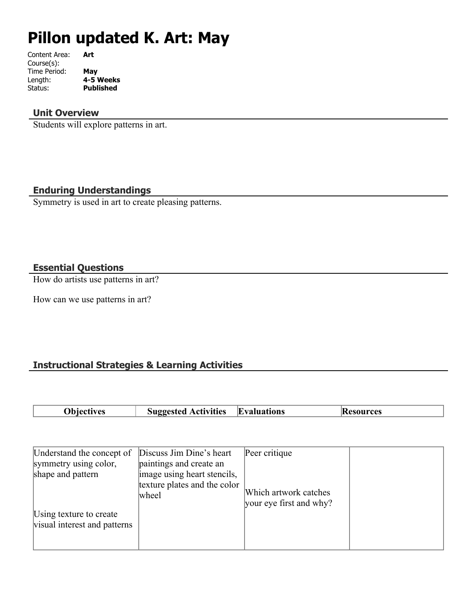# **Pillon updated K. Art: May**

| Art       |
|-----------|
|           |
| May       |
| 4-5 Weeks |
| Published |
|           |

## **Unit Overview**

Students will explore patterns in art.

## **Enduring Understandings**

Symmetry is used in art to create pleasing patterns.

## **Essential Questions**

How do artists use patterns in art?

How can we use patterns in art?

# **Instructional Strategies & Learning Activities**

|  | Objectives | <b>Suggested Activities</b> | <b>Evaluations</b> | <b>Resources</b> |
|--|------------|-----------------------------|--------------------|------------------|
|--|------------|-----------------------------|--------------------|------------------|

| Understand the concept of                               | Discuss Jim Dine's heart                               | Peer critique                                    |  |
|---------------------------------------------------------|--------------------------------------------------------|--------------------------------------------------|--|
| symmetry using color,<br>shape and pattern              | paintings and create an<br>image using heart stencils, |                                                  |  |
| Using texture to create<br>visual interest and patterns | texture plates and the color<br>wheel                  | Which artwork catches<br>your eye first and why? |  |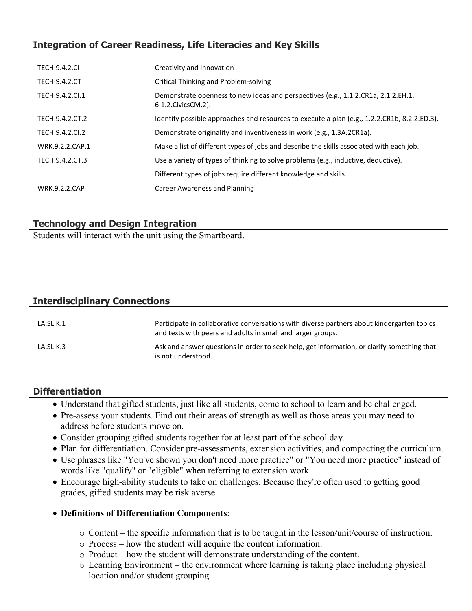# **Integration of Career Readiness, Life Literacies and Key Skills**

| <b>TECH.9.4.2.CI</b> | Creativity and Innovation                                                                                  |
|----------------------|------------------------------------------------------------------------------------------------------------|
| <b>TECH.9.4.2.CT</b> | Critical Thinking and Problem-solving                                                                      |
| TECH.9.4.2.Cl.1      | Demonstrate openness to new ideas and perspectives (e.g., 1.1.2.CR1a, 2.1.2.EH.1,<br>6.1.2. Civics CM. 2). |
| TECH.9.4.2.CT.2      | Identify possible approaches and resources to execute a plan (e.g., 1.2.2.CR1b, 8.2.2.ED.3).               |
| TECH.9.4.2.CI.2      | Demonstrate originality and inventiveness in work (e.g., 1.3A.2CR1a).                                      |
| WRK.9.2.2.CAP.1      | Make a list of different types of jobs and describe the skills associated with each job.                   |
| TECH.9.4.2.CT.3      | Use a variety of types of thinking to solve problems (e.g., inductive, deductive).                         |
|                      | Different types of jobs require different knowledge and skills.                                            |
| <b>WRK.9.2.2.CAP</b> | Career Awareness and Planning                                                                              |

## **Technology and Design Integration**

Students will interact with the unit using the Smartboard.

# **Interdisciplinary Connections**

| LA.SL.K.1 | Participate in collaborative conversations with diverse partners about kindergarten topics<br>and texts with peers and adults in small and larger groups. |
|-----------|-----------------------------------------------------------------------------------------------------------------------------------------------------------|
| LA.SL.K.3 | Ask and answer questions in order to seek help, get information, or clarify something that<br>is not understood.                                          |

# **Differentiation**

- Understand that gifted students, just like all students, come to school to learn and be challenged.
- Pre-assess your students. Find out their areas of strength as well as those areas you may need to address before students move on.
- Consider grouping gifted students together for at least part of the school day.
- Plan for differentiation. Consider pre-assessments, extension activities, and compacting the curriculum.
- Use phrases like "You've shown you don't need more practice" or "You need more practice" instead of words like "qualify" or "eligible" when referring to extension work.
- Encourage high-ability students to take on challenges. Because they're often used to getting good grades, gifted students may be risk averse.

## **Definitions of Differentiation Components**:

- o Content the specific information that is to be taught in the lesson/unit/course of instruction.
- o Process how the student will acquire the content information.
- o Product how the student will demonstrate understanding of the content.
- o Learning Environment the environment where learning is taking place including physical location and/or student grouping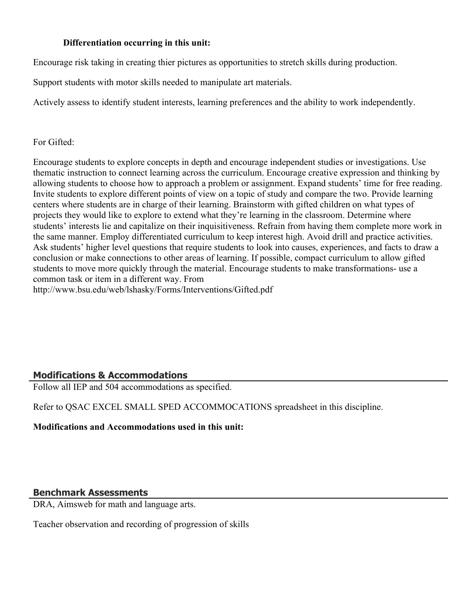#### **Differentiation occurring in this unit:**

Encourage risk taking in creating thier pictures as opportunities to stretch skills during production.

Support students with motor skills needed to manipulate art materials.

Actively assess to identify student interests, learning preferences and the ability to work independently.

#### For Gifted:

Encourage students to explore concepts in depth and encourage independent studies or investigations. Use thematic instruction to connect learning across the curriculum. Encourage creative expression and thinking by allowing students to choose how to approach a problem or assignment. Expand students' time for free reading. Invite students to explore different points of view on a topic of study and compare the two. Provide learning centers where students are in charge of their learning. Brainstorm with gifted children on what types of projects they would like to explore to extend what they're learning in the classroom. Determine where students' interests lie and capitalize on their inquisitiveness. Refrain from having them complete more work in the same manner. Employ differentiated curriculum to keep interest high. Avoid drill and practice activities. Ask students' higher level questions that require students to look into causes, experiences, and facts to draw a conclusion or make connections to other areas of learning. If possible, compact curriculum to allow gifted students to move more quickly through the material. Encourage students to make transformations- use a common task or item in a different way. From

http://www.bsu.edu/web/lshasky/Forms/Interventions/Gifted.pdf

## **Modifications & Accommodations**

Follow all IEP and 504 accommodations as specified.

Refer to QSAC EXCEL SMALL SPED ACCOMMOCATIONS spreadsheet in this discipline.

#### **Modifications and Accommodations used in this unit:**

#### **Benchmark Assessments**

DRA, Aimsweb for math and language arts.

Teacher observation and recording of progression of skills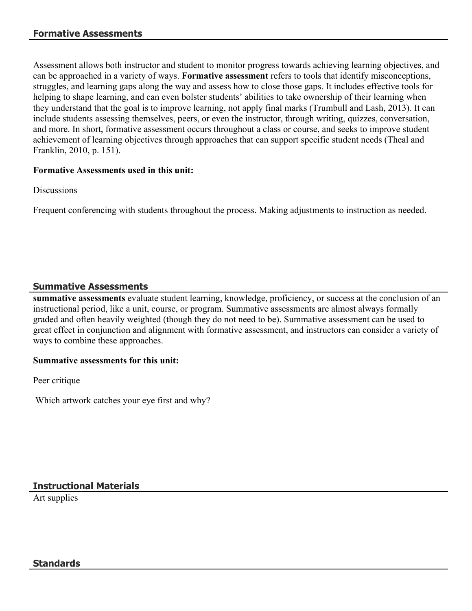Assessment allows both instructor and student to monitor progress towards achieving learning objectives, and can be approached in a variety of ways. **Formative assessment** refers to tools that identify misconceptions, struggles, and learning gaps along the way and assess how to close those gaps. It includes effective tools for helping to shape learning, and can even bolster students' abilities to take ownership of their learning when they understand that the goal is to improve learning, not apply final marks (Trumbull and Lash, 2013). It can include students assessing themselves, peers, or even the instructor, through writing, quizzes, conversation, and more. In short, formative assessment occurs throughout a class or course, and seeks to improve student achievement of learning objectives through approaches that can support specific student needs (Theal and Franklin, 2010, p. 151).

#### **Formative Assessments used in this unit:**

**Discussions** 

Frequent conferencing with students throughout the process. Making adjustments to instruction as needed.

## **Summative Assessments**

**summative assessments** evaluate student learning, knowledge, proficiency, or success at the conclusion of an instructional period, like a unit, course, or program. Summative assessments are almost always formally graded and often heavily weighted (though they do not need to be). Summative assessment can be used to great effect in conjunction and alignment with formative assessment, and instructors can consider a variety of ways to combine these approaches.

#### **Summative assessments for this unit:**

Peer critique

Which artwork catches your eye first and why?

**Instructional Materials**

Art supplies